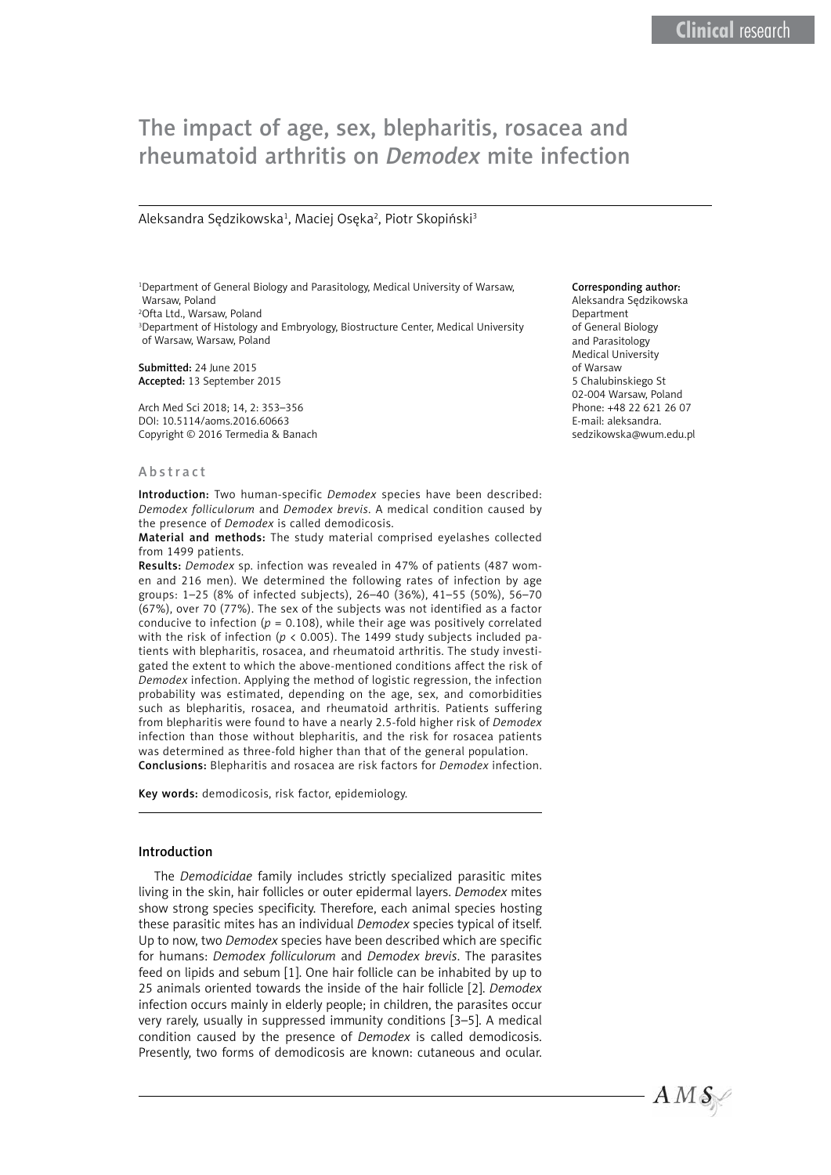# The impact of age, sex, blepharitis, rosacea and rheumatoid arthritis on *Demodex* mite infection

#### Aleksandra Sędzikowska<sup>1</sup>, Maciej Osęka<sup>2</sup>, Piotr Skopiński<sup>3</sup>

1 Department of General Biology and Parasitology, Medical University of Warsaw, Warsaw, Poland 2 Ofta Ltd., Warsaw, Poland 3 Department of Histology and Embryology, Biostructure Center, Medical University of Warsaw, Warsaw, Poland

Submitted: 24 June 2015 Accepted: 13 September 2015

Arch Med Sci 2018; 14, 2: 353–356 DOI: 10.5114/aoms.2016.60663 Copyright © 2016 Termedia & Banach

#### Abstract

Introduction: Two human-specific *Demodex* species have been described: *Demodex folliculorum* and *Demodex brevis*. A medical condition caused by the presence of *Demodex* is called demodicosis.

Material and methods: The study material comprised eyelashes collected from 1499 patients.

Results: *Demodex* sp. infection was revealed in 47% of patients (487 women and 216 men). We determined the following rates of infection by age groups: 1–25 (8% of infected subjects), 26–40 (36%), 41–55 (50%), 56–70 (67%), over 70 (77%). The sex of the subjects was not identified as a factor conducive to infection ( $p = 0.108$ ), while their age was positively correlated with the risk of infection ( $p < 0.005$ ). The 1499 study subjects included patients with blepharitis, rosacea, and rheumatoid arthritis. The study investigated the extent to which the above-mentioned conditions affect the risk of *Demodex* infection. Applying the method of logistic regression, the infection probability was estimated, depending on the age, sex, and comorbidities such as blepharitis, rosacea, and rheumatoid arthritis. Patients suffering from blepharitis were found to have a nearly 2.5-fold higher risk of *Demodex* infection than those without blepharitis, and the risk for rosacea patients was determined as three-fold higher than that of the general population. Conclusions: Blepharitis and rosacea are risk factors for *Demodex* infection.

Key words: demodicosis, risk factor, epidemiology.

#### Introduction

The *Demodicidae* family includes strictly specialized parasitic mites living in the skin, hair follicles or outer epidermal layers. *Demodex* mites show strong species specificity. Therefore, each animal species hosting these parasitic mites has an individual *Demodex* species typical of itself. Up to now, two *Demodex* species have been described which are specific for humans: *Demodex folliculorum* and *Demodex brevis*. The parasites feed on lipids and sebum [1]. One hair follicle can be inhabited by up to 25 animals oriented towards the inside of the hair follicle [2]. *Demodex* infection occurs mainly in elderly people; in children, the parasites occur very rarely, usually in suppressed immunity conditions [3–5]. A medical condition caused by the presence of *Demodex* is called demodicosis. Presently, two forms of demodicosis are known: cutaneous and ocular.

#### Corresponding author:

Aleksandra Sędzikowska Department of General Biology and Parasitology Medical University of Warsaw 5 Chalubinskiego St 02-004 Warsaw, Poland Phone: +48 22 621 26 07 E-mail: aleksandra. sedzikowska@wum.edu.pl

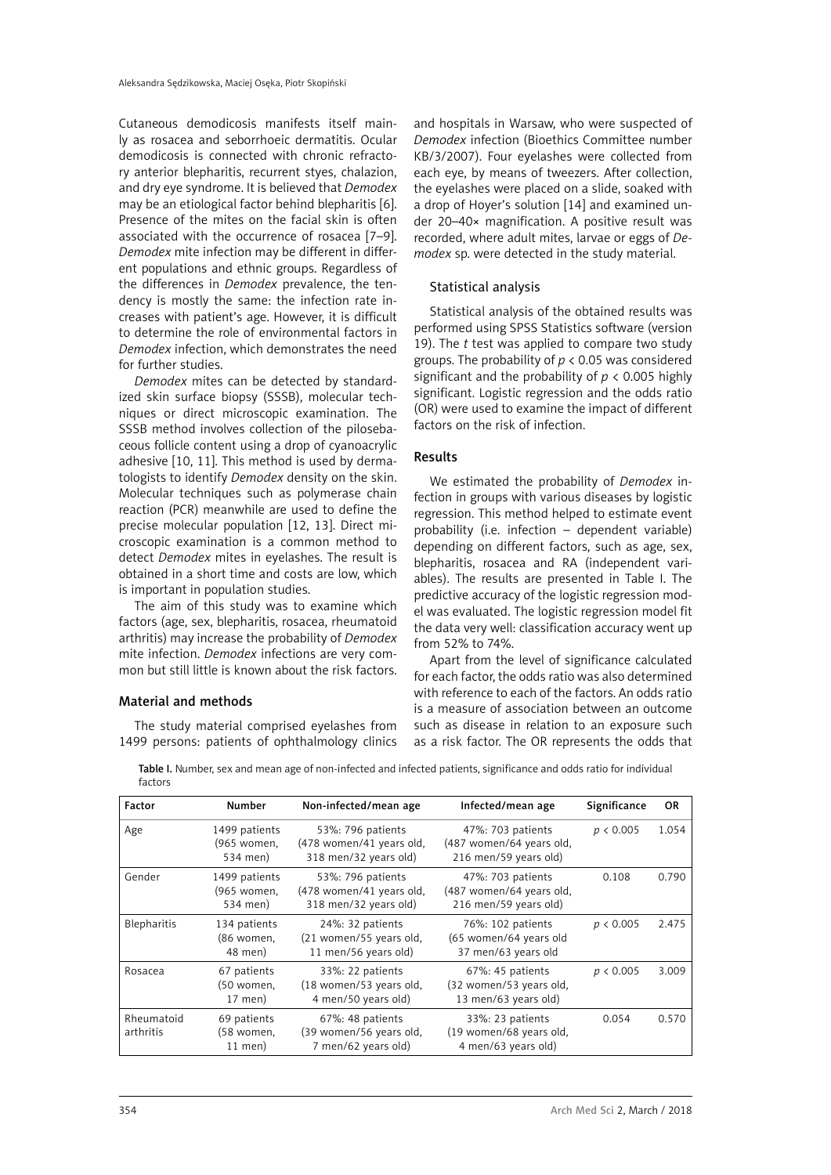Cutaneous demodicosis manifests itself mainly as rosacea and seborrhoeic dermatitis. Ocular demodicosis is connected with chronic refractory anterior blepharitis, recurrent styes, chalazion, and dry eye syndrome. It is believed that *Demodex* may be an etiological factor behind blepharitis [6]. Presence of the mites on the facial skin is often associated with the occurrence of rosacea [7–9]. *Demodex* mite infection may be different in different populations and ethnic groups. Regardless of the differences in *Demodex* prevalence, the tendency is mostly the same: the infection rate increases with patient's age. However, it is difficult to determine the role of environmental factors in *Demodex* infection, which demonstrates the need for further studies.

*Demodex* mites can be detected by standardized skin surface biopsy (SSSB), molecular techniques or direct microscopic examination. The SSSB method involves collection of the pilosebaceous follicle content using a drop of cyanoacrylic adhesive [10, 11]. This method is used by dermatologists to identify *Demodex* density on the skin. Molecular techniques such as polymerase chain reaction (PCR) meanwhile are used to define the precise molecular population [12, 13]. Direct microscopic examination is a common method to detect *Demodex* mites in eyelashes. The result is obtained in a short time and costs are low, which is important in population studies.

The aim of this study was to examine which factors (age, sex, blepharitis, rosacea, rheumatoid arthritis) may increase the probability of *Demodex* mite infection. *Demodex* infections are very common but still little is known about the risk factors.

## Material and methods

The study material comprised eyelashes from 1499 persons: patients of ophthalmology clinics

and hospitals in Warsaw, who were suspected of *Demodex* infection (Bioethics Committee number KB/3/2007). Four eyelashes were collected from each eye, by means of tweezers. After collection, the eyelashes were placed on a slide, soaked with a drop of Hoyer's solution [14] and examined under 20–40× magnification. A positive result was recorded, where adult mites, larvae or eggs of *Demodex* sp. were detected in the study material.

# Statistical analysis

Statistical analysis of the obtained results was performed using SPSS Statistics software (version 19). The *t* test was applied to compare two study groups. The probability of *p* < 0.05 was considered significant and the probability of *p* < 0.005 highly significant. Logistic regression and the odds ratio (OR) were used to examine the impact of different factors on the risk of infection.

## Results

We estimated the probability of *Demodex* infection in groups with various diseases by logistic regression. This method helped to estimate event probability (i.e. infection – dependent variable) depending on different factors, such as age, sex, blepharitis, rosacea and RA (independent variables). The results are presented in Table I. The predictive accuracy of the logistic regression model was evaluated. The logistic regression model fit the data very well: classification accuracy went up from 52% to 74%.

Apart from the level of significance calculated for each factor, the odds ratio was also determined with reference to each of the factors. An odds ratio is a measure of association between an outcome such as disease in relation to an exposure such as a risk factor. The OR represents the odds that

| Factor                  | Number                                   | Non-infected/mean age                                                  | Infected/mean age                                                      | Significance | <b>OR</b> |
|-------------------------|------------------------------------------|------------------------------------------------------------------------|------------------------------------------------------------------------|--------------|-----------|
| Age                     | 1499 patients<br>(965 women,<br>534 men) | 53%: 796 patients<br>(478 women/41 years old,<br>318 men/32 years old) | 47%: 703 patients<br>(487 women/64 years old,<br>216 men/59 years old) | p < 0.005    | 1.054     |
| Gender                  | 1499 patients<br>(965 women,<br>534 men) | 53%: 796 patients<br>(478 women/41 years old,<br>318 men/32 years old) | 47%: 703 patients<br>(487 women/64 years old,<br>216 men/59 years old) | 0.108        | 0.790     |
| Blepharitis             | 134 patients<br>(86 women,<br>48 men)    | 24%: 32 patients<br>(21 women/55 years old,<br>11 men/56 years old)    | 76%: 102 patients<br>(65 women/64 years old<br>37 men/63 years old     | p < 0.005    | 2.475     |
| Rosacea                 | 67 patients<br>(50 women,<br>17 men)     | 33%: 22 patients<br>(18 women/53 years old,<br>4 men/50 years old)     | 67%: 45 patients<br>(32 women/53 years old,<br>13 men/63 years old)    | p < 0.005    | 3.009     |
| Rheumatoid<br>arthritis | 69 patients<br>(58 women,<br>$11$ men)   | 67%: 48 patients<br>(39 women/56 years old,<br>7 men/62 years old)     | 33%: 23 patients<br>(19 women/68 years old,<br>4 men/63 years old)     | 0.054        | 0.570     |

Table I. Number, sex and mean age of non-infected and infected patients, significance and odds ratio for individual factors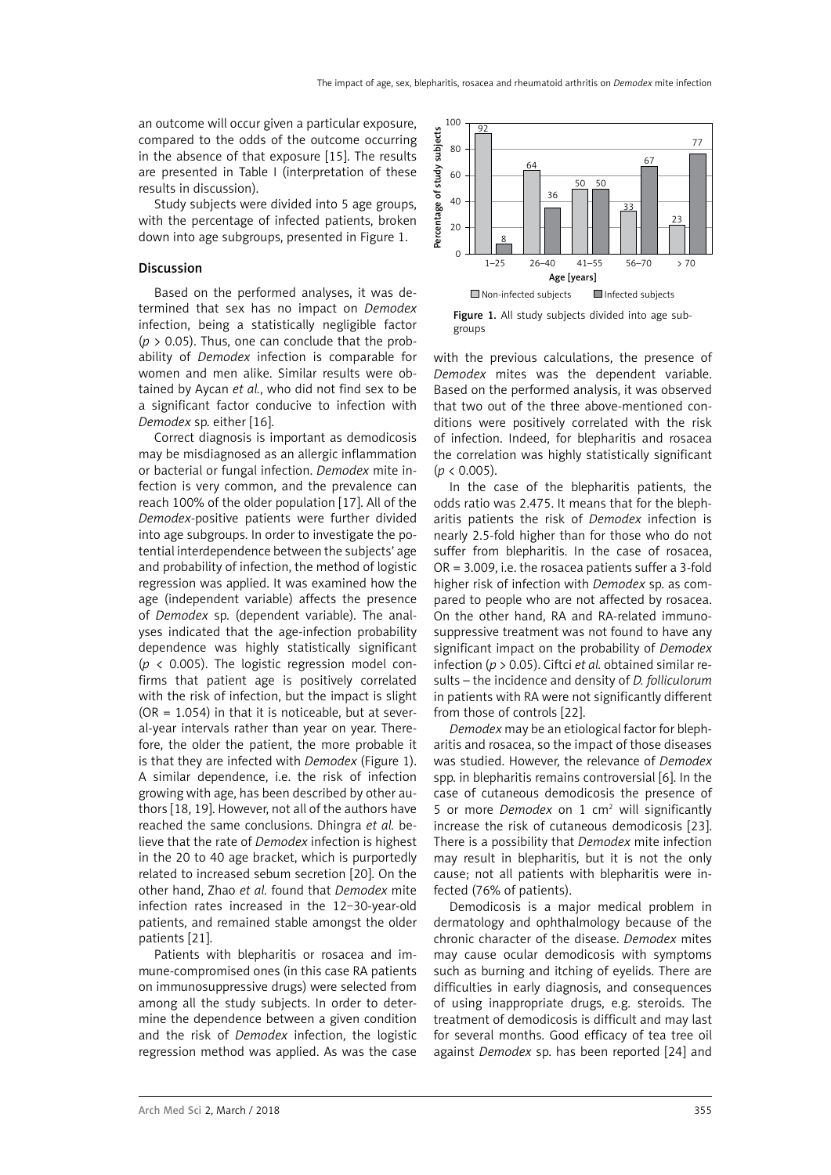an outcome will occur given a particular exposure, compared to the odds of the outcome occurring in the absence of that exposure [15]. The results are presented in Table I (interpretation of these results in discussion).

Study subjects were divided into 5 age groups, with the percentage of infected patients, broken down into age subgroups, presented in Figure 1.

# Discussion

Based on the performed analyses, it was determined that sex has no impact on *Demodex* infection, being a statistically negligible factor  $(p > 0.05)$ . Thus, one can conclude that the probability of *Demodex* infection is comparable for women and men alike. Similar results were obtained by Aycan *et al.*, who did not find sex to be a significant factor conducive to infection with *Demodex* sp. either [16].

Correct diagnosis is important as demodicosis may be misdiagnosed as an allergic inflammation or bacterial or fungal infection. *Demodex* mite infection is very common, and the prevalence can reach 100% of the older population [17]. All of the *Demodex*-positive patients were further divided into age subgroups. In order to investigate the potential interdependence between the subjects' age and probability of infection, the method of logistic regression was applied. It was examined how the age (independent variable) affects the presence of *Demodex* sp. (dependent variable). The analyses indicated that the age-infection probability dependence was highly statistically significant (*p* < 0.005). The logistic regression model confirms that patient age is positively correlated with the risk of infection, but the impact is slight  $(OR = 1.054)$  in that it is noticeable, but at several-year intervals rather than year on year. Therefore, the older the patient, the more probable it is that they are infected with *Demodex* (Figure 1). A similar dependence, i.e. the risk of infection growing with age, has been described by other authors [18, 19]. However, not all of the authors have reached the same conclusions. Dhingra *et al.* believe that the rate of *Demodex* infection is highest in the 20 to 40 age bracket, which is purportedly related to increased sebum secretion [20]. On the other hand, Zhao *et al.* found that *Demodex* mite infection rates increased in the 12-30-year-old patients, and remained stable amongst the older patients [21].

Patients with blepharitis or rosacea and immune-compromised ones (in this case RA patients on immunosuppressive drugs) were selected from among all the study subjects. In order to determine the dependence between a given condition and the risk of *Demodex* infection, the logistic regression method was applied. As was the case



Figure 1. All study subjects divided into age subgroups

with the previous calculations, the presence of *Demodex* mites was the dependent variable. Based on the performed analysis, it was observed that two out of the three above-mentioned conditions were positively correlated with the risk of infection. Indeed, for blepharitis and rosacea the correlation was highly statistically significant  $(p < 0.005)$ .

In the case of the blepharitis patients, the odds ratio was 2.475. It means that for the blepharitis patients the risk of *Demodex* infection is nearly 2.5-fold higher than for those who do not suffer from blepharitis. In the case of rosacea, OR = 3.009, i.e. the rosacea patients suffer a 3-fold higher risk of infection with *Demodex* sp. as compared to people who are not affected by rosacea. On the other hand, RA and RA-related immunosuppressive treatment was not found to have any significant impact on the probability of *Demodex* infection (*p* > 0.05). Ciftci *et al.* obtained similar results – the incidence and density of *D. folliculorum* in patients with RA were not significantly different from those of controls [22].

*Demodex* may be an etiological factor for blepharitis and rosacea, so the impact of those diseases was studied. However, the relevance of *Demodex* spp. in blepharitis remains controversial [6]. In the case of cutaneous demodicosis the presence of 5 or more *Demodex* on 1 cm<sup>2</sup> will significantly increase the risk of cutaneous demodicosis [23]. There is a possibility that *Demodex* mite infection may result in blepharitis, but it is not the only cause; not all patients with blepharitis were infected (76% of patients).

Demodicosis is a major medical problem in dermatology and ophthalmology because of the chronic character of the disease. *Demodex* mites may cause ocular demodicosis with symptoms such as burning and itching of eyelids. There are difficulties in early diagnosis, and consequences of using inappropriate drugs, e.g. steroids. The treatment of demodicosis is difficult and may last for several months. Good efficacy of tea tree oil against *Demodex* sp. has been reported [24] and